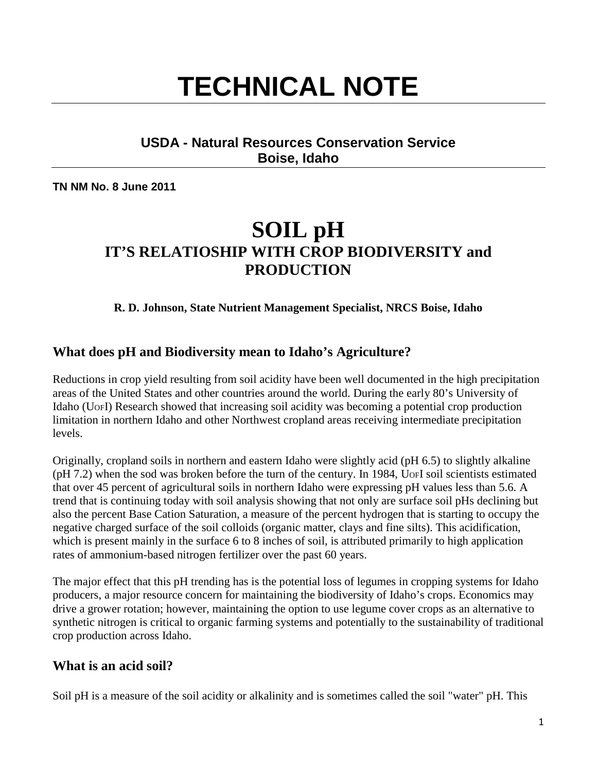# **TECHNICAL NOTE**

# **USDA - Natural Resources Conservation Service Boise, Idaho**

**TN NM No. 8 June 2011**

# **SOIL pH IT'S RELATIOSHIP WITH CROP BIODIVERSITY and PRODUCTION**

#### **R. D. Johnson, State Nutrient Management Specialist, NRCS Boise, Idaho**

# **What does pH and Biodiversity mean to Idaho's Agriculture?**

Reductions in crop yield resulting from soil acidity have been well documented in the high precipitation areas of the United States and other countries around the world. During the early 80's University of Idaho (UOFI) Research showed that increasing soil acidity was becoming a potential crop production limitation in northern Idaho and other Northwest cropland areas receiving intermediate precipitation levels.

Originally, cropland soils in northern and eastern Idaho were slightly acid (pH 6.5) to slightly alkaline (pH 7.2) when the sod was broken before the turn of the century. In 1984, UOFI soil scientists estimated that over 45 percent of agricultural soils in northern Idaho were expressing pH values less than 5.6. A trend that is continuing today with soil analysis showing that not only are surface soil pHs declining but also the percent Base Cation Saturation, a measure of the percent hydrogen that is starting to occupy the negative charged surface of the soil colloids (organic matter, clays and fine silts). This acidification, which is present mainly in the surface 6 to 8 inches of soil, is attributed primarily to high application rates of ammonium-based nitrogen fertilizer over the past 60 years.

The major effect that this pH trending has is the potential loss of legumes in cropping systems for Idaho producers, a major resource concern for maintaining the biodiversity of Idaho's crops. Economics may drive a grower rotation; however, maintaining the option to use legume cover crops as an alternative to synthetic nitrogen is critical to organic farming systems and potentially to the sustainability of traditional crop production across Idaho.

#### **What is an acid soil?**

Soil pH is a measure of the soil acidity or alkalinity and is sometimes called the soil "water" pH. This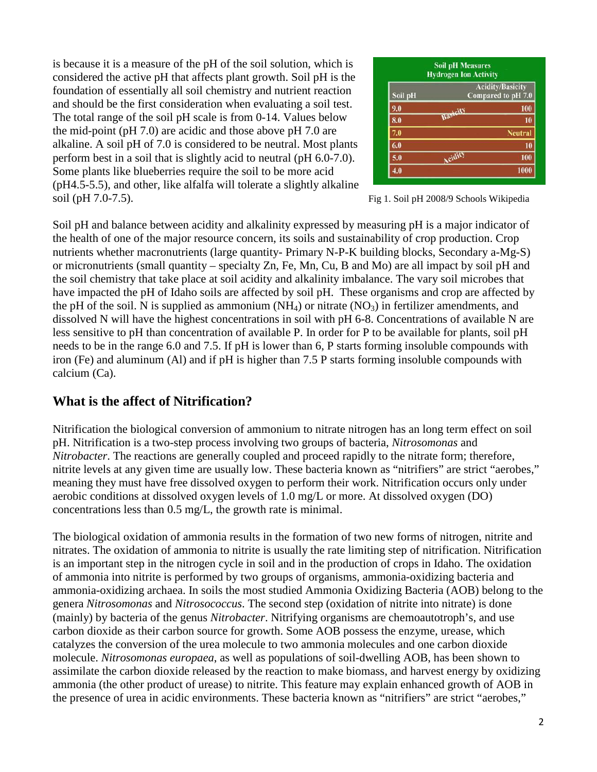is because it is a measure of the pH of the soil solution, which is considered the active pH that affects plant growth. Soil pH is the foundation of essentially all soil chemistry and nutrient reaction and should be the first consideration when evaluating a soil test. The total range of the soil pH scale is from 0-14. Values below the mid-point (pH 7.0) are acidic and those above pH 7.0 are alkaline. A soil pH of 7.0 is considered to be neutral. Most plants perform best in a soil that is slightly acid to neutral (pH 6.0-7.0). Some plants like blueberries require the soil to be more acid (pH4.5-5.5), and other, like alfalfa will tolerate a slightly alkaline soil (pH 7.0-7.5). Fig 1. Soil pH 2008/9 Schools Wikipedia

| <b>Soil pH Measures</b><br><b>Hydrogen Ion Activity</b>  |          |                |  |  |
|----------------------------------------------------------|----------|----------------|--|--|
| <b>Acidity/Basicity</b><br>Compared to pH 7.0<br>Soil pH |          |                |  |  |
| 9.0                                                      | Basicity | 100            |  |  |
| 8.0                                                      |          | 10             |  |  |
| 7.0                                                      |          | <b>Neutral</b> |  |  |
| 6.0                                                      |          | 10             |  |  |
| 5.0                                                      | Acidity  | 100            |  |  |
| 4.0                                                      |          | 1000           |  |  |

Soil pH and balance between acidity and alkalinity expressed by measuring pH is a major indicator of the health of one of the major resource concern, its soils and sustainability of crop production. Crop nutrients whether macronutrients (large quantity- Primary N-P-K building blocks, Secondary a-Mg-S) or micronutrients (small quantity – specialty Zn, Fe, Mn, Cu, B and Mo) are all impact by soil pH and the soil chemistry that take place at soil acidity and alkalinity imbalance. The vary soil microbes that have impacted the pH of Idaho soils are affected by soil pH. These organisms and crop are affected by the pH of the soil. N is supplied as ammonium  $(NH_4)$  or nitrate  $(NO_3)$  in fertilizer amendments, and dissolved N will have the highest concentrations in soil with pH 6-8. Concentrations of available N are less sensitive to pH than concentration of available P. In order for P to be available for plants, soil pH needs to be in the range 6.0 and 7.5. If pH is lower than 6, P starts forming insoluble compounds with iron (Fe) and aluminum (Al) and if pH is higher than 7.5 P starts forming insoluble compounds with calcium (Ca).

# **What is the affect of Nitrification?**

Nitrification the biological conversion of ammonium to nitrate nitrogen has an long term effect on soil pH. Nitrification is a two-step process involving two groups of bacteria, *Nitrosomonas* and *Nitrobacter*. The reactions are generally coupled and proceed rapidly to the nitrate form; therefore, nitrite levels at any given time are usually low. These bacteria known as "nitrifiers" are strict "aerobes," meaning they must have free dissolved oxygen to perform their work. Nitrification occurs only under aerobic conditions at dissolved oxygen levels of 1.0 mg/L or more. At dissolved oxygen (DO) concentrations less than 0.5 mg/L, the growth rate is minimal.

The biological oxidation of ammonia results in the formation of two new forms of nitrogen, nitrite and nitrates. The oxidation of ammonia to nitrite is usually the rate limiting step of nitrification. Nitrification is an important step in the nitrogen cycle in soil and in the production of crops in Idaho. The oxidation of ammonia into nitrite is performed by two groups of organisms, ammonia-oxidizing bacteria and ammonia-oxidizing archaea. In soils the most studied Ammonia Oxidizing Bacteria (AOB) belong to the genera *Nitrosomonas* and *Nitrosococcus*. The second step (oxidation of nitrite into nitrate) is done (mainly) by bacteria of the genus *Nitrobacter*. Nitrifying organisms are chemoautotroph's, and use carbon dioxide as their carbon source for growth. Some AOB possess the enzyme, urease, which catalyzes the conversion of the urea molecule to two ammonia molecules and one carbon dioxide molecule. *Nitrosomonas europaea*, as well as populations of soil-dwelling AOB, has been shown to assimilate the carbon dioxide released by the reaction to make biomass, and harvest energy by oxidizing ammonia (the other product of urease) to nitrite. This feature may explain enhanced growth of AOB in the presence of urea in acidic environments. These bacteria known as "nitrifiers" are strict "aerobes,"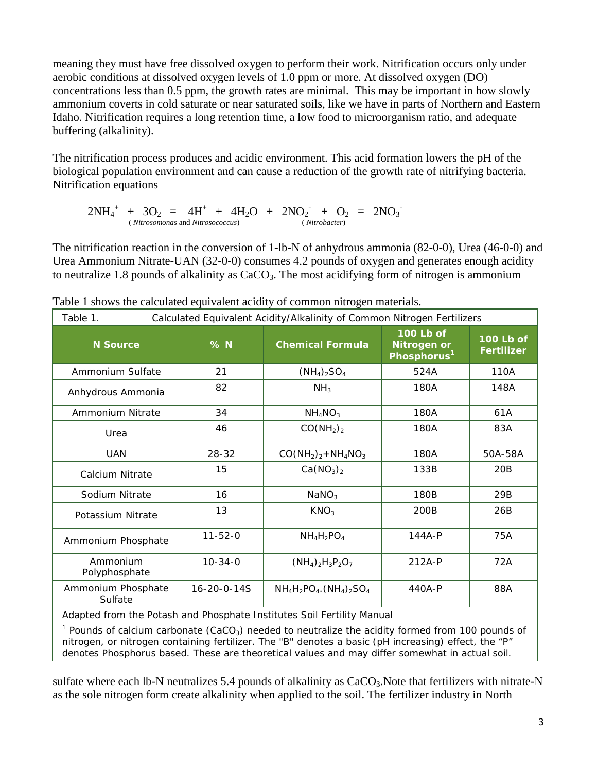meaning they must have free dissolved oxygen to perform their work. Nitrification occurs only under aerobic conditions at dissolved oxygen levels of 1.0 ppm or more. At dissolved oxygen (DO) concentrations less than 0.5 ppm, the growth rates are minimal. This may be important in how slowly ammonium coverts in cold saturate or near saturated soils, like we have in parts of Northern and Eastern Idaho. Nitrification requires a long retention time, a low food to microorganism ratio, and adequate buffering (alkalinity).

The nitrification process produces and acidic environment. This acid formation lowers the pH of the biological population environment and can cause a reduction of the growth rate of nitrifying bacteria. Nitrification equations

 $2NH_4^+ + 3O_2 = 4H^+ + 4H_2O + 2NO_2^- + O_2 = 2NO_3^-$ ( *Nitrosomonas* and *Nitrosococcus*) ( *Nitrobacter*)

The nitrification reaction in the conversion of 1-lb-N of anhydrous ammonia (82-0-0), Urea (46-0-0) and Urea Ammonium Nitrate-UAN (32-0-0) consumes 4.2 pounds of oxygen and generates enough acidity to neutralize 1.8 pounds of alkalinity as  $CaCO<sub>3</sub>$ . The most acidifying form of nitrogen is ammonium

| Table 1.<br>Calculated Equivalent Acidity/Alkalinity of Common Nitrogen Fertilizers                                                                                                                                     |                     |                                   |                                                            |                                |  |
|-------------------------------------------------------------------------------------------------------------------------------------------------------------------------------------------------------------------------|---------------------|-----------------------------------|------------------------------------------------------------|--------------------------------|--|
| <b>N</b> Source                                                                                                                                                                                                         | $%$ N               | <b>Chemical Formula</b>           | 100 Lb of<br><b>Nitrogen or</b><br>Phosphorus <sup>1</sup> | 100 Lb of<br><b>Fertilizer</b> |  |
| Ammonium Sulfate                                                                                                                                                                                                        | 21                  | $(NH_4)_2SO_4$                    | 524A                                                       | 110A                           |  |
| Anhydrous Ammonia                                                                                                                                                                                                       | 82                  | NH <sub>3</sub>                   | 180A                                                       | 148A                           |  |
| Ammonium Nitrate                                                                                                                                                                                                        | 34                  | $NH_4NO_3$                        | 180A                                                       | 61A                            |  |
| Urea                                                                                                                                                                                                                    | 46                  | CO(NH <sub>2</sub> ) <sub>2</sub> | 180A                                                       | 83A                            |  |
| <b>UAN</b>                                                                                                                                                                                                              | 28-32               | $CO(NH_2)_2 + NH_4NO_3$           | 180A                                                       | 50A-58A                        |  |
| Calcium Nitrate                                                                                                                                                                                                         | 15                  | Ca(NO <sub>3</sub> ) <sub>2</sub> | 133B                                                       | 20B                            |  |
| Sodium Nitrate                                                                                                                                                                                                          | 16                  | NaNO <sub>3</sub>                 | 180B                                                       | 29B                            |  |
| Potassium Nitrate                                                                                                                                                                                                       | 13                  | KNO <sub>3</sub>                  | 200B                                                       | 26B                            |  |
| Ammonium Phosphate                                                                                                                                                                                                      | $11 - 52 - 0$       | $NH_4H_2PO_4$                     | $144A-P$                                                   | 75A                            |  |
| Ammonium<br>Polyphosphate                                                                                                                                                                                               | $10 - 34 - 0$       | $(NH_4)_2H_3P_2O_7$               | 212A-P                                                     | 72A                            |  |
| Ammonium Phosphate<br>Sulfate                                                                                                                                                                                           | $16 - 20 - 0 - 14S$ | $NH_4H_2PO_4. (NH_4)_2SO_4$       | 440A-P                                                     | 88A                            |  |
| Adapted from the Potash and Phosphate Institutes Soil Fertility Manual                                                                                                                                                  |                     |                                   |                                                            |                                |  |
| $1$ Pounds of calcium carbonate (CaCO <sub>3</sub> ) needed to neutralize the acidity formed from 100 pounds of<br>nitrogen, or nitrogen containing fertilizer. The "B" denotes a basic (pH increasing) effect, the "P" |                     |                                   |                                                            |                                |  |

Table 1 shows the calculated equivalent acidity of common nitrogen materials.

sulfate where each lb-N neutralizes 5.4 pounds of alkalinity as CaCO<sub>3</sub>. Note that fertilizers with nitrate-N as the sole nitrogen form create alkalinity when applied to the soil. The fertilizer industry in North

denotes Phosphorus based. These are theoretical values and may differ somewhat in actual soil.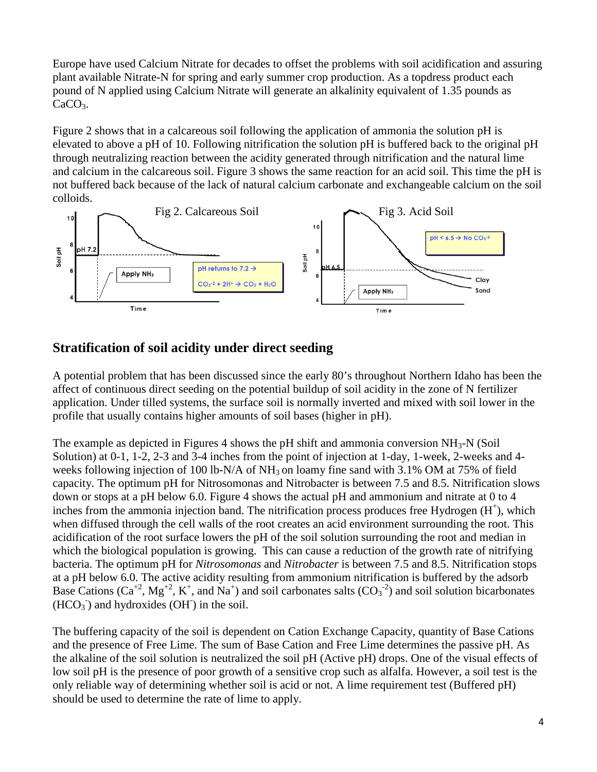Europe have used Calcium Nitrate for decades to offset the problems with soil acidification and assuring plant available Nitrate-N for spring and early summer crop production. As a topdress product each pound of N applied using Calcium Nitrate will generate an alkalinity equivalent of 1.35 pounds as  $CaCO<sub>3</sub>$ .

Figure 2 shows that in a calcareous soil following the application of ammonia the solution pH is elevated to above a pH of 10. Following nitrification the solution pH is buffered back to the original pH through neutralizing reaction between the acidity generated through nitrification and the natural lime and calcium in the calcareous soil. Figure 3 shows the same reaction for an acid soil. This time the pH is not buffered back because of the lack of natural calcium carbonate and exchangeable calcium on the soil colloids.



# **Stratification of soil acidity under direct seeding**

A potential problem that has been discussed since the early 80's throughout Northern Idaho has been the affect of continuous direct seeding on the potential buildup of soil acidity in the zone of N fertilizer application. Under tilled systems, the surface soil is normally inverted and mixed with soil lower in the profile that usually contains higher amounts of soil bases (higher in pH).

The example as depicted in Figures 4 shows the pH shift and ammonia conversion  $NH<sub>3</sub>-N$  (Soil Solution) at 0-1, 1-2, 2-3 and 3-4 inches from the point of injection at 1-day, 1-week, 2-weeks and 4 weeks following injection of 100 lb-N/A of  $NH_3$  on loamy fine sand with 3.1% OM at 75% of field capacity. The optimum pH for Nitrosomonas and Nitrobacter is between 7.5 and 8.5. Nitrification slows down or stops at a pH below 6.0. Figure 4 shows the actual pH and ammonium and nitrate at 0 to 4 inches from the ammonia injection band. The nitrification process produces free Hydrogen  $(H<sup>+</sup>)$ , which when diffused through the cell walls of the root creates an acid environment surrounding the root. This acidification of the root surface lowers the pH of the soil solution surrounding the root and median in which the biological population is growing. This can cause a reduction of the growth rate of nitrifying bacteria. The optimum pH for *Nitrosomonas* and *Nitrobacter* is between 7.5 and 8.5. Nitrification stops at a pH below 6.0. The active acidity resulting from ammonium nitrification is buffered by the adsorb Base Cations (Ca<sup>+2</sup>, Mg<sup>+2</sup>, K<sup>+</sup>, and Na<sup>+</sup>) and soil carbonates salts (CO<sub>3</sub><sup>-2</sup>) and soil solution bicarbonates  $(HCO<sub>3</sub>^-)$  and hydroxides  $(OH^-)$  in the soil.

The buffering capacity of the soil is dependent on Cation Exchange Capacity, quantity of Base Cations and the presence of Free Lime. The sum of Base Cation and Free Lime determines the passive pH. As the alkaline of the soil solution is neutralized the soil pH (Active pH) drops. One of the visual effects of low soil pH is the presence of poor growth of a sensitive crop such as alfalfa. However, a soil test is the only reliable way of determining whether soil is acid or not. A lime requirement test (Buffered pH) should be used to determine the rate of lime to apply.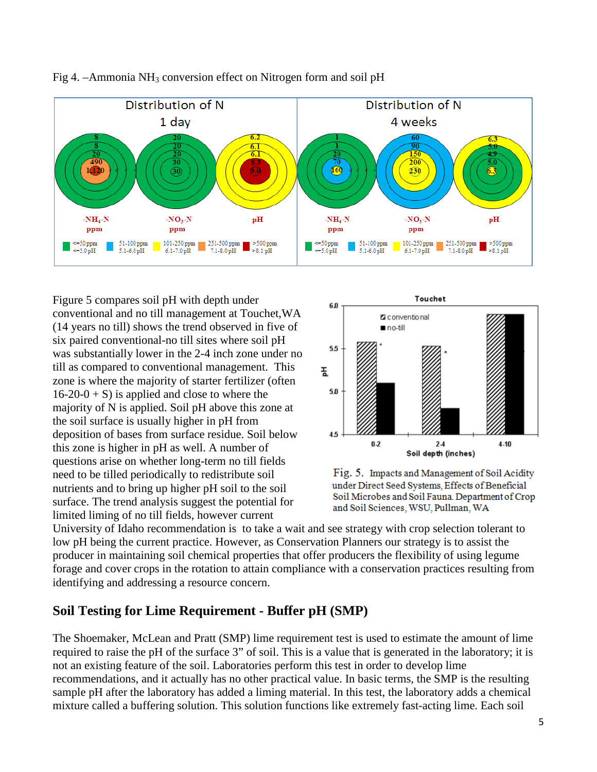



Figure 5 compares soil pH with depth under conventional and no till management at Touchet,WA (14 years no till) shows the trend observed in five of six paired conventional-no till sites where soil pH was substantially lower in the 2-4 inch zone under no till as compared to conventional management. This zone is where the majority of starter fertilizer (often  $16-20-0 + S$ ) is applied and close to where the majority of N is applied. Soil pH above this zone at the soil surface is usually higher in pH from deposition of bases from surface residue. Soil below this zone is higher in pH as well. A number of questions arise on whether long-term no till fields need to be tilled periodically to redistribute soil nutrients and to bring up higher pH soil to the soil surface. The trend analysis suggest the potential for limited liming of no till fields, however current





University of Idaho recommendation is to take a wait and see strategy with crop selection tolerant to low pH being the current practice. However, as Conservation Planners our strategy is to assist the producer in maintaining soil chemical properties that offer producers the flexibility of using legume forage and cover crops in the rotation to attain compliance with a conservation practices resulting from identifying and addressing a resource concern.

# **Soil Testing for Lime Requirement - Buffer pH (SMP)**

The Shoemaker, McLean and Pratt (SMP) lime requirement test is used to estimate the amount of lime required to raise the pH of the surface 3" of soil. This is a value that is generated in the laboratory; it is not an existing feature of the soil. Laboratories perform this test in order to develop lime recommendations, and it actually has no other practical value. In basic terms, the SMP is the resulting sample pH after the laboratory has added a liming material. In this test, the laboratory adds a chemical mixture called a buffering solution. This solution functions like extremely fast-acting lime. Each soil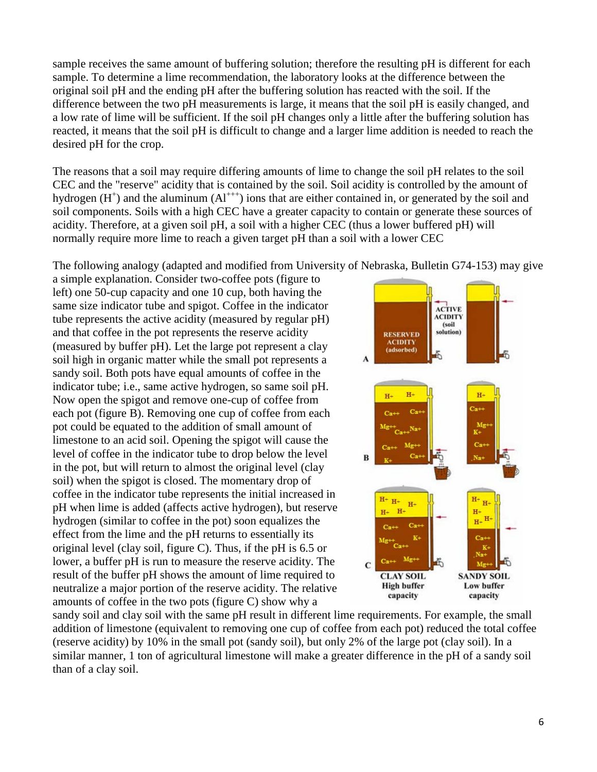sample receives the same amount of buffering solution; therefore the resulting pH is different for each sample. To determine a lime recommendation, the laboratory looks at the difference between the original soil pH and the ending pH after the buffering solution has reacted with the soil. If the difference between the two pH measurements is large, it means that the soil pH is easily changed, and a low rate of lime will be sufficient. If the soil pH changes only a little after the buffering solution has reacted, it means that the soil pH is difficult to change and a larger lime addition is needed to reach the desired pH for the crop.

The reasons that a soil may require differing amounts of lime to change the soil pH relates to the soil CEC and the "reserve" acidity that is contained by the soil. Soil acidity is controlled by the amount of hydrogen  $(H<sup>+</sup>)$  and the aluminum  $(Al<sup>+++</sup>)$  ions that are either contained in, or generated by the soil and soil components. Soils with a high CEC have a greater capacity to contain or generate these sources of acidity. Therefore, at a given soil pH, a soil with a higher CEC (thus a lower buffered pH) will normally require more lime to reach a given target pH than a soil with a lower CEC

The following analogy (adapted and modified from University of Nebraska, Bulletin G74-153) may give

a simple explanation. Consider two-coffee pots (figure to left) one 50-cup capacity and one 10 cup, both having the same size indicator tube and spigot. Coffee in the indicator tube represents the active acidity (measured by regular pH) and that coffee in the pot represents the reserve acidity (measured by buffer pH). Let the large pot represent a clay soil high in organic matter while the small pot represents a sandy soil. Both pots have equal amounts of coffee in the indicator tube; i.e., same active hydrogen, so same soil pH. Now open the spigot and remove one-cup of coffee from each pot (figure B). Removing one cup of coffee from each pot could be equated to the addition of small amount of limestone to an acid soil. Opening the spigot will cause the level of coffee in the indicator tube to drop below the level in the pot, but will return to almost the original level (clay soil) when the spigot is closed. The momentary drop of coffee in the indicator tube represents the initial increased in pH when lime is added (affects active hydrogen), but reserve hydrogen (similar to coffee in the pot) soon equalizes the effect from the lime and the pH returns to essentially its original level (clay soil, figure C). Thus, if the pH is 6.5 or lower, a buffer pH is run to measure the reserve acidity. The result of the buffer pH shows the amount of lime required to neutralize a major portion of the reserve acidity. The relative amounts of coffee in the two pots (figure C) show why a



sandy soil and clay soil with the same pH result in different lime requirements. For example, the small addition of limestone (equivalent to removing one cup of coffee from each pot) reduced the total coffee (reserve acidity) by 10% in the small pot (sandy soil), but only 2% of the large pot (clay soil). In a similar manner, 1 ton of agricultural limestone will make a greater difference in the pH of a sandy soil than of a clay soil.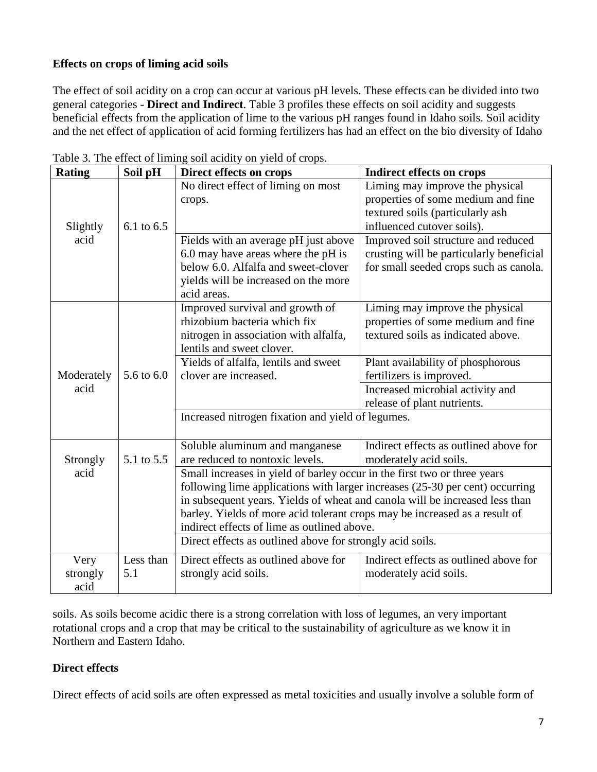#### **Effects on crops of liming acid soils**

The effect of soil acidity on a crop can occur at various pH levels. These effects can be divided into two general categories - **Direct and Indirect**. Table 3 profiles these effects on soil acidity and suggests beneficial effects from the application of lime to the various pH ranges found in Idaho soils. Soil acidity and the net effect of application of acid forming fertilizers has had an effect on the bio diversity of Idaho

| <b>Rating</b> | Soil pH    | $50$ and $\mu$ on $70$ and $\mu$ and $\mu$<br>Direct effects on crops        | <b>Indirect effects on crops</b>         |  |  |  |
|---------------|------------|------------------------------------------------------------------------------|------------------------------------------|--|--|--|
|               |            | No direct effect of liming on most                                           | Liming may improve the physical          |  |  |  |
|               |            | crops.                                                                       | properties of some medium and fine       |  |  |  |
|               |            |                                                                              | textured soils (particularly ash         |  |  |  |
| Slightly      | 6.1 to 6.5 |                                                                              | influenced cutover soils).               |  |  |  |
| acid          |            | Fields with an average pH just above                                         | Improved soil structure and reduced      |  |  |  |
|               |            | 6.0 may have areas where the pH is                                           | crusting will be particularly beneficial |  |  |  |
|               |            | below 6.0. Alfalfa and sweet-clover                                          | for small seeded crops such as canola.   |  |  |  |
|               |            | yields will be increased on the more                                         |                                          |  |  |  |
|               |            | acid areas.                                                                  |                                          |  |  |  |
|               |            | Improved survival and growth of                                              | Liming may improve the physical          |  |  |  |
|               |            | rhizobium bacteria which fix                                                 | properties of some medium and fine       |  |  |  |
|               |            | nitrogen in association with alfalfa,                                        | textured soils as indicated above.       |  |  |  |
|               |            | lentils and sweet clover.                                                    |                                          |  |  |  |
|               |            | Yields of alfalfa, lentils and sweet                                         | Plant availability of phosphorous        |  |  |  |
| Moderately    | 5.6 to 6.0 | clover are increased.                                                        | fertilizers is improved.                 |  |  |  |
| acid          |            |                                                                              | Increased microbial activity and         |  |  |  |
|               |            |                                                                              | release of plant nutrients.              |  |  |  |
|               |            | Increased nitrogen fixation and yield of legumes.                            |                                          |  |  |  |
|               |            | Soluble aluminum and manganese                                               | Indirect effects as outlined above for   |  |  |  |
| Strongly      | 5.1 to 5.5 | are reduced to nontoxic levels.                                              | moderately acid soils.                   |  |  |  |
| acid          |            | Small increases in yield of barley occur in the first two or three years     |                                          |  |  |  |
|               |            | following lime applications with larger increases (25-30 per cent) occurring |                                          |  |  |  |
|               |            | in subsequent years. Yields of wheat and canola will be increased less than  |                                          |  |  |  |
|               |            | barley. Yields of more acid tolerant crops may be increased as a result of   |                                          |  |  |  |
|               |            | indirect effects of lime as outlined above.                                  |                                          |  |  |  |
|               |            | Direct effects as outlined above for strongly acid soils.                    |                                          |  |  |  |
| Very          | Less than  | Direct effects as outlined above for                                         | Indirect effects as outlined above for   |  |  |  |
| strongly      | 5.1        | strongly acid soils.                                                         | moderately acid soils.                   |  |  |  |
| acid          |            |                                                                              |                                          |  |  |  |

Table 3. The effect of liming soil acidity on yield of crops.

soils. As soils become acidic there is a strong correlation with loss of legumes, an very important rotational crops and a crop that may be critical to the sustainability of agriculture as we know it in Northern and Eastern Idaho.

#### **Direct effects**

Direct effects of acid soils are often expressed as metal toxicities and usually involve a soluble form of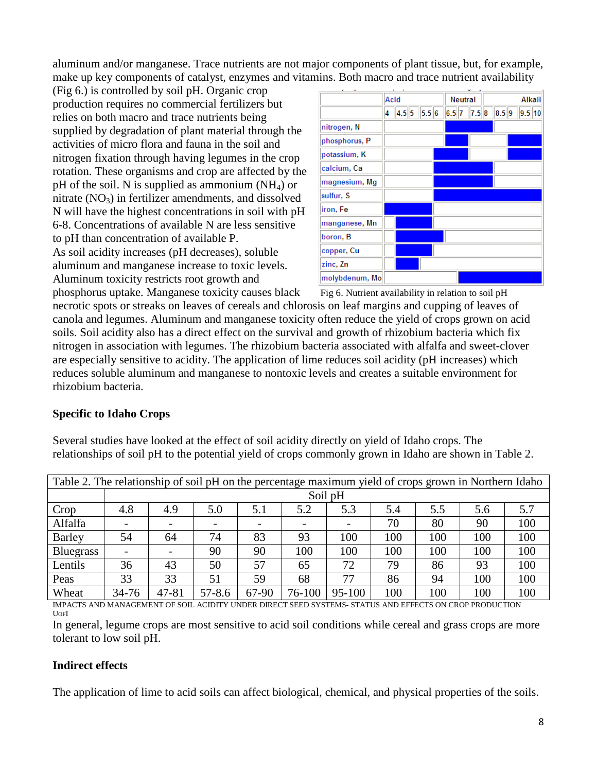aluminum and/or manganese. Trace nutrients are not major components of plant tissue, but, for example, make up key components of catalyst, enzymes and vitamins. Both macro and trace nutrient availability

(Fig 6.) is controlled by soil pH. Organic crop production requires no commercial fertilizers but relies on both macro and trace nutrients being supplied by degradation of plant material through the activities of micro flora and fauna in the soil and nitrogen fixation through having legumes in the crop rotation. These organisms and crop are affected by the  $pH$  of the soil. N is supplied as ammonium (NH<sub>4</sub>) or nitrate  $(NO<sub>3</sub>)$  in fertilizer amendments, and dissolved N will have the highest concentrations in soil with pH 6-8. Concentrations of available N are less sensitive to pH than concentration of available P. As soil acidity increases (pH decreases), soluble aluminum and manganese increase to toxic levels. Aluminum toxicity restricts root growth and



phosphorus uptake. Manganese toxicity causes black Fig 6. Nutrient availability in relation to soil pH necrotic spots or streaks on leaves of cereals and chlorosis on leaf margins and cupping of leaves of canola and legumes. Aluminum and manganese toxicity often reduce the yield of crops grown on acid soils. Soil acidity also has a direct effect on the survival and growth of rhizobium bacteria which fix nitrogen in association with legumes. The rhizobium bacteria associated with alfalfa and sweet-clover are especially sensitive to acidity. The application of lime reduces soil acidity (pH increases) which reduces soluble aluminum and manganese to nontoxic levels and creates a suitable environment for rhizobium bacteria.

#### **Specific to Idaho Crops**

Several studies have looked at the effect of soil acidity directly on yield of Idaho crops. The relationships of soil pH to the potential yield of crops commonly grown in Idaho are shown in Table 2.

| Table 2. The relationship of soil pH on the percentage maximum yield of crops grown in Northern Idaho |           |         |            |       |        |            |     |     |     |     |
|-------------------------------------------------------------------------------------------------------|-----------|---------|------------|-------|--------|------------|-----|-----|-----|-----|
|                                                                                                       |           | Soil pH |            |       |        |            |     |     |     |     |
| Crop                                                                                                  | 4.8       | 4.9     | 5.0        | 5.1   | 5.2    | 5.3        | 5.4 | 5.5 | 5.6 | 5.7 |
| Alfalfa                                                                                               |           |         |            |       |        |            | 70  | 80  | 90  | 100 |
| <b>Barley</b>                                                                                         | 54        | 64      | 74         | 83    | 93     | 100        | 100 | 100 | 100 | 100 |
| <b>Bluegrass</b>                                                                                      |           |         | 90         | 90    | 100    | 100        | 100 | 100 | 100 | 100 |
| Lentils                                                                                               | 36        | 43      | 50         | 57    | 65     | 72         | 79  | 86  | 93  | 100 |
| Peas                                                                                                  | 33        | 33      | 51         | 59    | 68     | 77         | 86  | 94  | 100 | 100 |
| Wheat                                                                                                 | $34 - 76$ | 47-81   | $57 - 8.6$ | 67-90 | 76-100 | $95 - 100$ | 100 | 100 | 100 | 100 |

IMPACTS AND MANAGEMENT OF SOIL ACIDITY UNDER DIRECT SEED SYSTEMS- STATUS AND EFFECTS ON CROP PRODUCTION UOFI

In general, legume crops are most sensitive to acid soil conditions while cereal and grass crops are more tolerant to low soil pH.

#### **Indirect effects**

The application of lime to acid soils can affect biological, chemical, and physical properties of the soils.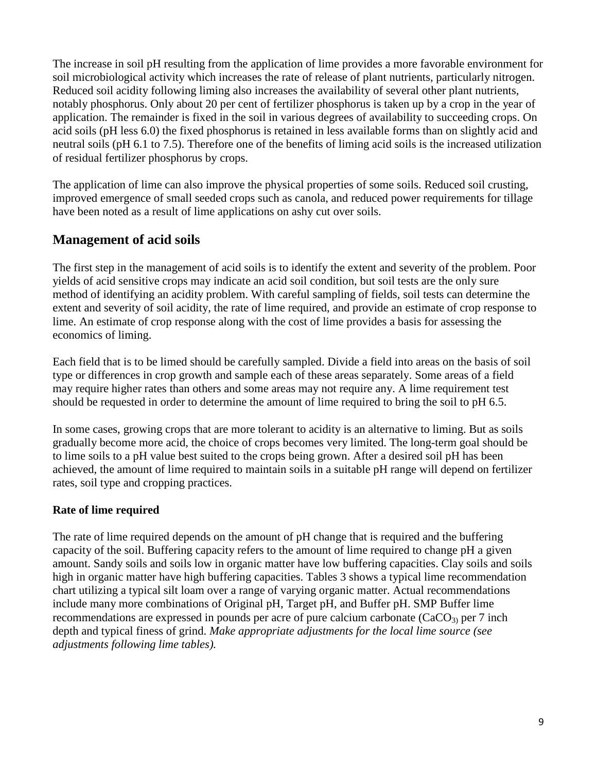The increase in soil pH resulting from the application of lime provides a more favorable environment for soil microbiological activity which increases the rate of release of plant nutrients, particularly nitrogen. Reduced soil acidity following liming also increases the availability of several other plant nutrients, notably phosphorus. Only about 20 per cent of fertilizer phosphorus is taken up by a crop in the year of application. The remainder is fixed in the soil in various degrees of availability to succeeding crops. On acid soils (pH less 6.0) the fixed phosphorus is retained in less available forms than on slightly acid and neutral soils (pH 6.1 to 7.5). Therefore one of the benefits of liming acid soils is the increased utilization of residual fertilizer phosphorus by crops.

The application of lime can also improve the physical properties of some soils. Reduced soil crusting, improved emergence of small seeded crops such as canola, and reduced power requirements for tillage have been noted as a result of lime applications on ashy cut over soils.

# **Management of acid soils**

The first step in the management of acid soils is to identify the extent and severity of the problem. Poor yields of acid sensitive crops may indicate an acid soil condition, but soil tests are the only sure method of identifying an acidity problem. With careful sampling of fields, soil tests can determine the extent and severity of soil acidity, the rate of lime required, and provide an estimate of crop response to lime. An estimate of crop response along with the cost of lime provides a basis for assessing the economics of liming.

Each field that is to be limed should be carefully sampled. Divide a field into areas on the basis of soil type or differences in crop growth and sample each of these areas separately. Some areas of a field may require higher rates than others and some areas may not require any. A lime requirement test should be requested in order to determine the amount of lime required to bring the soil to pH 6.5.

In some cases, growing crops that are more tolerant to acidity is an alternative to liming. But as soils gradually become more acid, the choice of crops becomes very limited. The long-term goal should be to lime soils to a pH value best suited to the crops being grown. After a desired soil pH has been achieved, the amount of lime required to maintain soils in a suitable pH range will depend on fertilizer rates, soil type and cropping practices.

#### **Rate of lime required**

The rate of lime required depends on the amount of pH change that is required and the buffering capacity of the soil. Buffering capacity refers to the amount of lime required to change pH a given amount. Sandy soils and soils low in organic matter have low buffering capacities. Clay soils and soils high in organic matter have high buffering capacities. Tables 3 shows a typical lime recommendation chart utilizing a typical silt loam over a range of varying organic matter. Actual recommendations include many more combinations of Original pH, Target pH, and Buffer pH. SMP Buffer lime recommendations are expressed in pounds per acre of pure calcium carbonate  $(CaCO<sub>3</sub>)$  per 7 inch depth and typical finess of grind. *Make appropriate adjustments for the local lime source (see adjustments following lime tables).*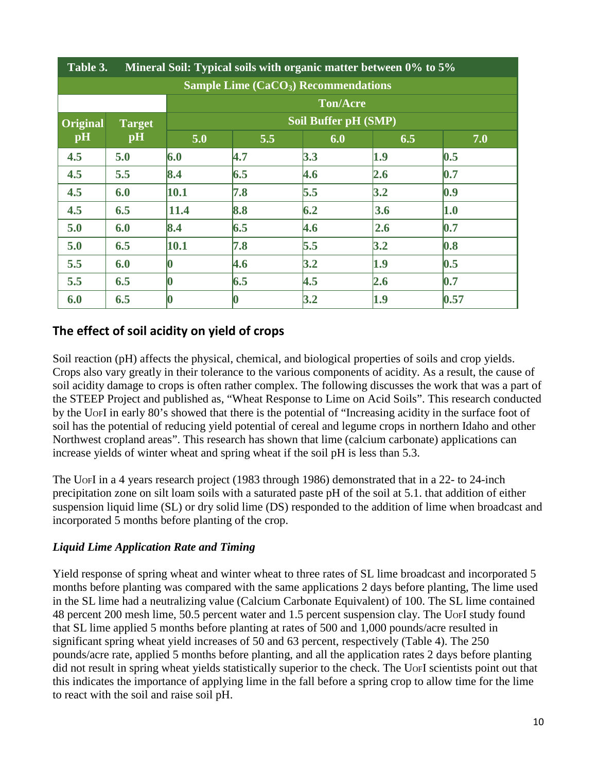|                 | Table 3.<br>Mineral Soil: Typical soils with organic matter between 0% to 5% |          |     |                      |             |      |  |
|-----------------|------------------------------------------------------------------------------|----------|-----|----------------------|-------------|------|--|
|                 | Sample Lime $(CaCO3)$ Recommendations                                        |          |     |                      |             |      |  |
|                 | <b>Ton/Acre</b>                                                              |          |     |                      |             |      |  |
| <b>Original</b> | <b>Target</b>                                                                |          |     | Soil Buffer pH (SMP) |             |      |  |
| pH              | pH                                                                           | 5.0      | 5.5 | 6.0                  | 6.5         | 7.0  |  |
| 4.5             | 5.0                                                                          | 6.0      | 4.7 | 3.3                  | 1.9         | 0.5  |  |
| 4.5             | 5.5                                                                          | 8.4      | 6.5 | 4.6                  | 2.6         | 0.7  |  |
| 4.5             | 6.0                                                                          | 10.1     | 7.8 | 5.5                  | 3.2         | 0.9  |  |
| 4.5             | 6.5                                                                          | 11.4     | 8.8 | 6.2                  | 3.6         | 1.0  |  |
| 5.0             | 6.0                                                                          | 8.4      | 6.5 | 4.6                  | $\vert$ 2.6 | 0.7  |  |
| 5.0             | 6.5                                                                          | 10.1     | 7.8 | 5.5                  | 3.2         | 0.8  |  |
| 5.5             | 6.0                                                                          | 0        | 4.6 | 3.2                  | 1.9         | 0.5  |  |
| 5.5             | 6.5                                                                          | 0        | 6.5 | 4.5                  | 2.6         | 0.7  |  |
| 6.0             | 6.5                                                                          | $\bm{0}$ |     | 3.2                  | 1.9         | 0.57 |  |

# **The effect of soil acidity on yield of crops**

Soil reaction (pH) affects the physical, chemical, and biological properties of soils and crop yields. Crops also vary greatly in their tolerance to the various components of acidity. As a result, the cause of soil acidity damage to crops is often rather complex. The following discusses the work that was a part of the STEEP Project and published as, "Wheat Response to Lime on Acid Soils". This research conducted by the UOFI in early 80's showed that there is the potential of "Increasing acidity in the surface foot of soil has the potential of reducing yield potential of cereal and legume crops in northern Idaho and other Northwest cropland areas". This research has shown that lime (calcium carbonate) applications can increase yields of winter wheat and spring wheat if the soil pH is less than 5.3.

The UOFI in a 4 years research project (1983 through 1986) demonstrated that in a 22- to 24-inch precipitation zone on silt loam soils with a saturated paste pH of the soil at 5.1. that addition of either suspension liquid lime (SL) or dry solid lime (DS) responded to the addition of lime when broadcast and incorporated 5 months before planting of the crop.

#### *Liquid Lime Application Rate and Timing*

Yield response of spring wheat and winter wheat to three rates of SL lime broadcast and incorporated 5 months before planting was compared with the same applications 2 days before planting, The lime used in the SL lime had a neutralizing value (Calcium Carbonate Equivalent) of 100. The SL lime contained 48 percent 200 mesh lime, 50.5 percent water and 1.5 percent suspension clay. The UOFI study found that SL lime applied 5 months before planting at rates of 500 and 1,000 pounds/acre resulted in significant spring wheat yield increases of 50 and 63 percent, respectively (Table 4). The 250 pounds/acre rate, applied 5 months before planting, and all the application rates 2 days before planting did not result in spring wheat yields statistically superior to the check. The UOFI scientists point out that this indicates the importance of applying lime in the fall before a spring crop to allow time for the lime to react with the soil and raise soil pH.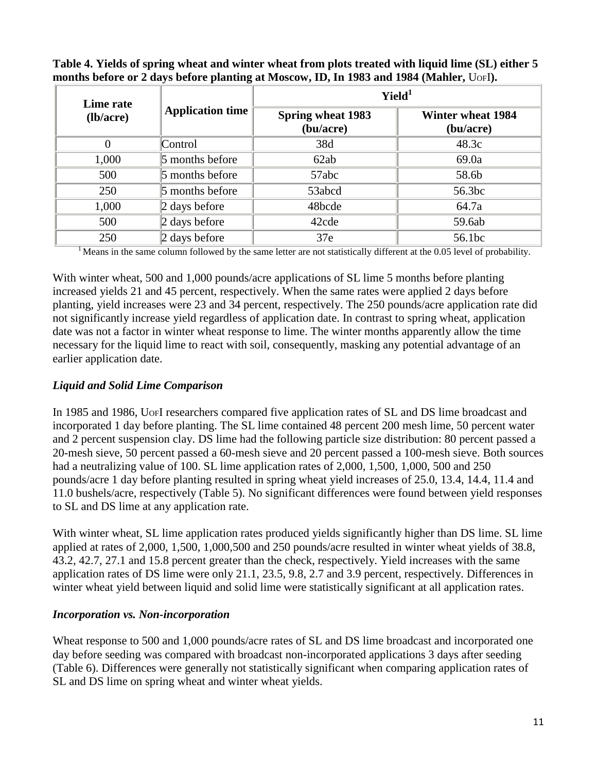**Table 4. Yields of spring wheat and winter wheat from plots treated with liquid lime (SL) either 5 months before or 2 days before planting at Moscow, ID, In 1983 and 1984 (Mahler,** UOFI**).**

| Lime rate |                         | Yield <sup>1</sup>                    |                                       |  |  |
|-----------|-------------------------|---------------------------------------|---------------------------------------|--|--|
| (lb/acre) | <b>Application time</b> | <b>Spring wheat 1983</b><br>(bu/acre) | <b>Winter wheat 1984</b><br>(bu/acre) |  |  |
| 0         | Control                 | 38d                                   | 48.3c                                 |  |  |
| 1,000     | 5 months before         | 62ab                                  | 69.0a                                 |  |  |
| 500       | $\vert$ 5 months before | 57abc                                 | 58.6b                                 |  |  |
| 250       | $\vert$ 5 months before | 53abcd                                | 56.3bc                                |  |  |
| 1,000     | $\vert$ 2 days before   | 48bcde                                | 64.7a                                 |  |  |
| 500       | $\ $ 2 days before      | 42cde                                 | 59.6ab                                |  |  |
| 250       | $\vert$ 2 days before   | 37e                                   | 56.1bc                                |  |  |

<sup>1</sup> Means in the same column followed by the same letter are not statistically different at the 0.05 level of probability.

With winter wheat, 500 and 1,000 pounds/acre applications of SL lime 5 months before planting increased yields 21 and 45 percent, respectively. When the same rates were applied 2 days before planting, yield increases were 23 and 34 percent, respectively. The 250 pounds/acre application rate did not significantly increase yield regardless of application date. In contrast to spring wheat, application date was not a factor in winter wheat response to lime. The winter months apparently allow the time necessary for the liquid lime to react with soil, consequently, masking any potential advantage of an earlier application date.

#### *Liquid and Solid Lime Comparison*

In 1985 and 1986, UOFI researchers compared five application rates of SL and DS lime broadcast and incorporated 1 day before planting. The SL lime contained 48 percent 200 mesh lime, 50 percent water and 2 percent suspension clay. DS lime had the following particle size distribution: 80 percent passed a 20-mesh sieve, 50 percent passed a 60-mesh sieve and 20 percent passed a 100-mesh sieve. Both sources had a neutralizing value of 100. SL lime application rates of 2,000, 1,500, 1,000, 500 and 250 pounds/acre 1 day before planting resulted in spring wheat yield increases of 25.0, 13.4, 14.4, 11.4 and 11.0 bushels/acre, respectively (Table 5). No significant differences were found between yield responses to SL and DS lime at any application rate.

With winter wheat, SL lime application rates produced yields significantly higher than DS lime. SL lime applied at rates of 2,000, 1,500, 1,000,500 and 250 pounds/acre resulted in winter wheat yields of 38.8, 43.2, 42.7, 27.1 and 15.8 percent greater than the check, respectively. Yield increases with the same application rates of DS lime were only 21.1, 23.5, 9.8, 2.7 and 3.9 percent, respectively. Differences in winter wheat yield between liquid and solid lime were statistically significant at all application rates.

#### *Incorporation vs. Non-incorporation*

Wheat response to 500 and 1,000 pounds/acre rates of SL and DS lime broadcast and incorporated one day before seeding was compared with broadcast non-incorporated applications 3 days after seeding (Table 6). Differences were generally not statistically significant when comparing application rates of SL and DS lime on spring wheat and winter wheat yields.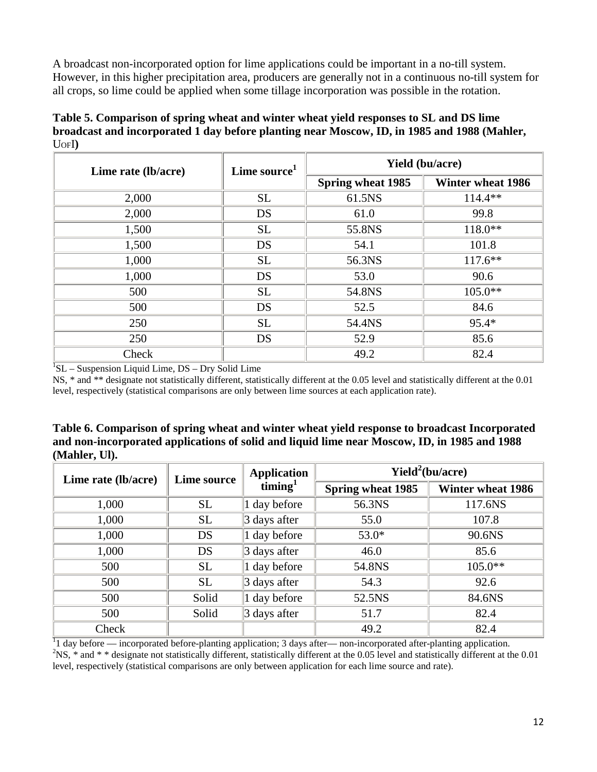A broadcast non-incorporated option for lime applications could be important in a no-till system. However, in this higher precipitation area, producers are generally not in a continuous no-till system for all crops, so lime could be applied when some tillage incorporation was possible in the rotation.

| Table 5. Comparison of spring wheat and winter wheat yield responses to SL and DS lime      |
|---------------------------------------------------------------------------------------------|
| broadcast and incorporated 1 day before planting near Moscow, ID, in 1985 and 1988 (Mahler, |
| $U$ OFI $)$                                                                                 |

| Lime rate (lb/acre) | Lime source <sup>1</sup> | <b>Yield (bu/acre)</b> |                          |  |
|---------------------|--------------------------|------------------------|--------------------------|--|
|                     | <b>Spring wheat 1985</b> |                        | <b>Winter wheat 1986</b> |  |
| 2,000               | <b>SL</b>                | 61.5NS                 | $114.4**$                |  |
| 2,000               | DS                       | 61.0                   | 99.8                     |  |
| 1,500               | <b>SL</b>                | 55.8NS                 | $118.0**$                |  |
| 1,500               | DS                       | 54.1                   | 101.8                    |  |
| 1,000               | <b>SL</b>                | 56.3NS                 | $117.6**$                |  |
| 1,000               | DS                       | 53.0                   | 90.6                     |  |
| 500                 | <b>SL</b>                | 54.8NS                 | $105.0**$                |  |
| 500                 | DS                       | 52.5                   | 84.6                     |  |
| 250                 | <b>SL</b>                | 54.4NS                 | $95.4*$                  |  |
| 250                 | DS                       | 52.9                   | 85.6                     |  |
| Check               |                          | 49.2                   | 82.4                     |  |

<sup>1</sup>SL – Suspension Liquid Lime, DS – Dry Solid Lime

NS, \* and \*\* designate not statistically different, statistically different at the 0.05 level and statistically different at the 0.01 level, respectively (statistical comparisons are only between lime sources at each application rate).

**Table 6. Comparison of spring wheat and winter wheat yield response to broadcast Incorporated and non-incorporated applications of solid and liquid lime near Moscow, ID, in 1985 and 1988 (Mahler, Ul).**

| Lime rate (lb/acre) | Lime source | <b>Application</b><br>$\lim_{ }$ | Yield <sup>2</sup> (bu/acre) |                          |  |
|---------------------|-------------|----------------------------------|------------------------------|--------------------------|--|
|                     |             |                                  | <b>Spring wheat 1985</b>     | <b>Winter wheat 1986</b> |  |
| 1,000               | <b>SL</b>   | 1 day before                     | 56.3NS                       | 117.6NS                  |  |
| 1,000               | <b>SL</b>   | $\beta$ days after               | 55.0                         | 107.8                    |  |
| 1,000               | DS          | $\vert$ 1 day before             | $53.0*$                      | 90.6NS                   |  |
| 1,000               | DS          | 3 days after                     | 46.0                         | 85.6                     |  |
| 500                 | <b>SL</b>   | 1 day before                     | 54.8NS                       | $105.0**$                |  |
| 500                 | <b>SL</b>   | $\beta$ days after               | 54.3                         | 92.6                     |  |
| 500                 | Solid       | 1 day before                     | 52.5NS                       | 84.6NS                   |  |
| 500                 | Solid       | $\beta$ days after               | 51.7                         | 82.4                     |  |
| Check               |             |                                  | 49.2                         | 82.4                     |  |

<sup>1</sup>l day before — incorporated before-planting application; 3 days after— non-incorporated after-planting application.<br><sup>2</sup>NS  $*$  and  $*$  \* decisions not statistically different statistically different at the 0.05 level an  $N$ S,  $*$  and  $*$   $*$  designate not statistically different, statistically different at the 0.05 level and statistically different at the 0.01 level, respectively (statistical comparisons are only between application for each lime source and rate).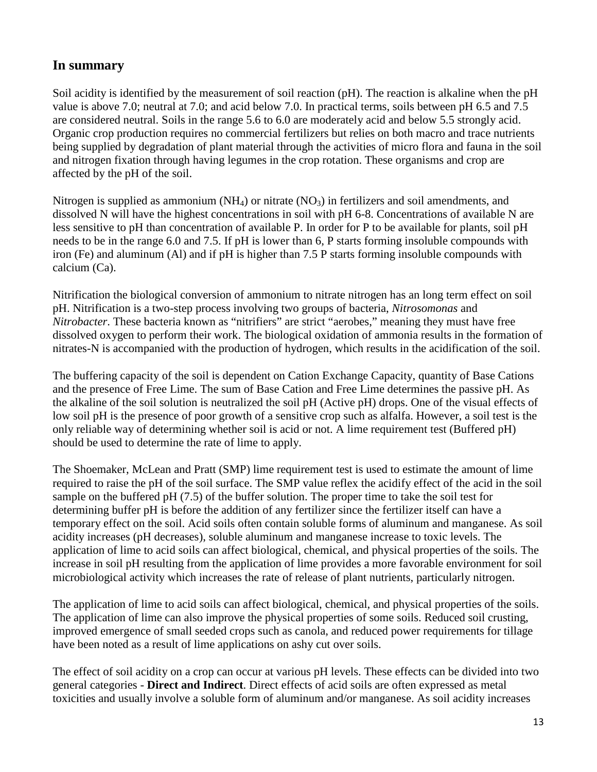# **In summary**

Soil acidity is identified by the measurement of soil reaction (pH). The reaction is alkaline when the pH value is above 7.0; neutral at 7.0; and acid below 7.0. In practical terms, soils between pH 6.5 and 7.5 are considered neutral. Soils in the range 5.6 to 6.0 are moderately acid and below 5.5 strongly acid. Organic crop production requires no commercial fertilizers but relies on both macro and trace nutrients being supplied by degradation of plant material through the activities of micro flora and fauna in the soil and nitrogen fixation through having legumes in the crop rotation. These organisms and crop are affected by the pH of the soil.

Nitrogen is supplied as ammonium  $(NH_4)$  or nitrate  $(NO_3)$  in fertilizers and soil amendments, and dissolved N will have the highest concentrations in soil with pH 6-8. Concentrations of available N are less sensitive to pH than concentration of available P. In order for P to be available for plants, soil pH needs to be in the range 6.0 and 7.5. If pH is lower than 6, P starts forming insoluble compounds with iron (Fe) and aluminum (Al) and if pH is higher than 7.5 P starts forming insoluble compounds with calcium (Ca).

Nitrification the biological conversion of ammonium to nitrate nitrogen has an long term effect on soil pH. Nitrification is a two-step process involving two groups of bacteria, *Nitrosomonas* and *Nitrobacter*. These bacteria known as "nitrifiers" are strict "aerobes," meaning they must have free dissolved oxygen to perform their work. The biological oxidation of ammonia results in the formation of nitrates-N is accompanied with the production of hydrogen, which results in the acidification of the soil.

The buffering capacity of the soil is dependent on Cation Exchange Capacity, quantity of Base Cations and the presence of Free Lime. The sum of Base Cation and Free Lime determines the passive pH. As the alkaline of the soil solution is neutralized the soil pH (Active pH) drops. One of the visual effects of low soil pH is the presence of poor growth of a sensitive crop such as alfalfa. However, a soil test is the only reliable way of determining whether soil is acid or not. A lime requirement test (Buffered pH) should be used to determine the rate of lime to apply.

The Shoemaker, McLean and Pratt (SMP) lime requirement test is used to estimate the amount of lime required to raise the pH of the soil surface. The SMP value reflex the acidify effect of the acid in the soil sample on the buffered pH (7.5) of the buffer solution. The proper time to take the soil test for determining buffer pH is before the addition of any fertilizer since the fertilizer itself can have a temporary effect on the soil. Acid soils often contain soluble forms of aluminum and manganese. As soil acidity increases (pH decreases), soluble aluminum and manganese increase to toxic levels. The application of lime to acid soils can affect biological, chemical, and physical properties of the soils. The increase in soil pH resulting from the application of lime provides a more favorable environment for soil microbiological activity which increases the rate of release of plant nutrients, particularly nitrogen.

The application of lime to acid soils can affect biological, chemical, and physical properties of the soils. The application of lime can also improve the physical properties of some soils. Reduced soil crusting, improved emergence of small seeded crops such as canola, and reduced power requirements for tillage have been noted as a result of lime applications on ashy cut over soils.

The effect of soil acidity on a crop can occur at various pH levels. These effects can be divided into two general categories - **Direct and Indirect**. Direct effects of acid soils are often expressed as metal toxicities and usually involve a soluble form of aluminum and/or manganese. As soil acidity increases